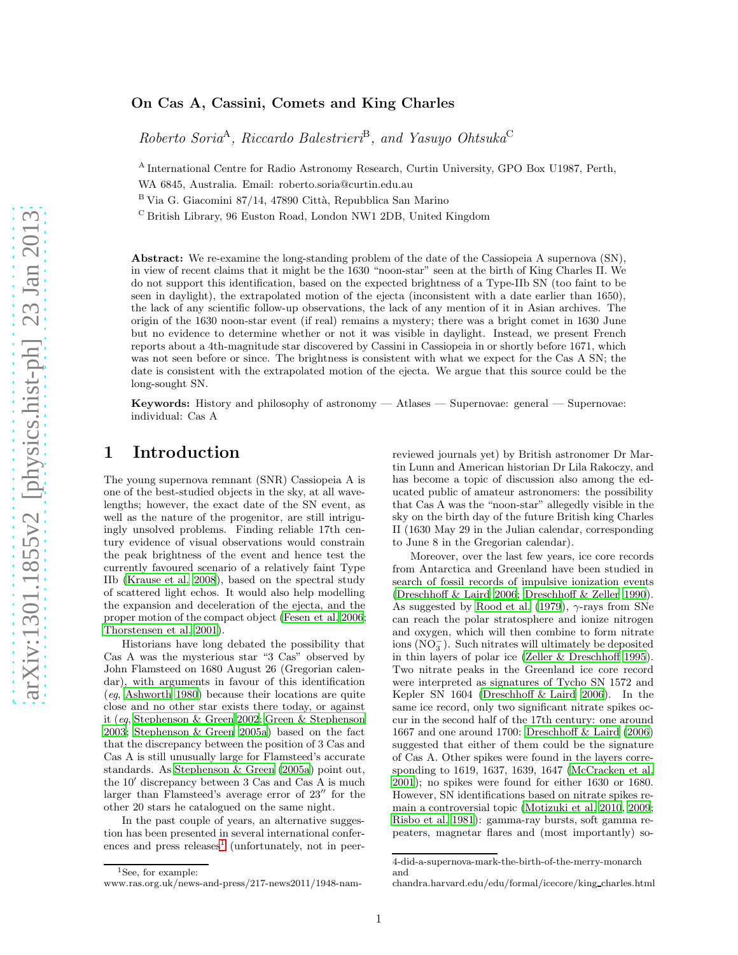#### On Cas A, Cassini, Comets and King Charles

 $Roberto Soria<sup>A</sup>, Riccardo Balestrieri<sup>B</sup>, and Yasuyo Ohtsuka<sup>C</sup>$ 

<sup>A</sup> International Centre for Radio Astronomy Research, Curtin University, GPO Box U1987, Perth, WA 6845, Australia. Email: roberto.soria@curtin.edu.au

 $B$  Via G. Giacomini 87/14, 47890 Città, Repubblica San Marino

<sup>C</sup> British Library, 96 Euston Road, London NW1 2DB, United Kingdom

Abstract: We re-examine the long-standing problem of the date of the Cassiopeia A supernova (SN), in view of recent claims that it might be the 1630 "noon-star" seen at the birth of King Charles II. We do not support this identification, based on the expected brightness of a Type-IIb SN (too faint to be seen in daylight), the extrapolated motion of the ejecta (inconsistent with a date earlier than 1650), the lack of any scientific follow-up observations, the lack of any mention of it in Asian archives. The origin of the 1630 noon-star event (if real) remains a mystery; there was a bright comet in 1630 June but no evidence to determine whether or not it was visible in daylight. Instead, we present French reports about a 4th-magnitude star discovered by Cassini in Cassiopeia in or shortly before 1671, which was not seen before or since. The brightness is consistent with what we expect for the Cas A SN; the date is consistent with the extrapolated motion of the ejecta. We argue that this source could be the long-sought SN.

Keywords: History and philosophy of astronomy — Atlases — Supernovae: general — Supernovae: individual: Cas A

#### 1 Introduction

The young supernova remnant (SNR) Cassiopeia A is one of the best-studied objects in the sky, at all wavelengths; however, the exact date of the SN event, as well as the nature of the progenitor, are still intriguingly unsolved problems. Finding reliable 17th century evidence of visual observations would constrain the peak brightness of the event and hence test the currently favoured scenario of a relatively faint Type IIb [\(Krause et al. 2008](#page-8-0)), based on the spectral study of scattered light echos. It would also help modelling the expansion and deceleration of the ejecta, and the proper motion of the compact object [\(Fesen et al. 2006;](#page-8-1) [Thorstensen et al. 2001](#page-9-0)).

Historians have long debated the possibility that Cas A was the mysterious star "3 Cas" observed by John Flamsteed on 1680 August 26 (Gregorian calendar), with arguments in favour of this identification (eg, [Ashworth 1980](#page-8-2)) because their locations are quite close and no other star exists there today, or against it (eg, [Stephenson & Green 2002](#page-9-1); [Green & Stephenson](#page-8-3) [2003](#page-8-3); [Stephenson & Green 2005a\)](#page-9-2) based on the fact that the discrepancy between the position of 3 Cas and Cas A is still unusually large for Flamsteed's accurate standards. As [Stephenson & Green \(2005a](#page-9-2)) point out, the 10′ discrepancy between 3 Cas and Cas A is much larger than Flamsteed's average error of 23′′ for the other 20 stars he catalogued on the same night.

In the past couple of years, an alternative suggestion has been presented in several international confer-ences and press releases<sup>[1](#page-0-0)</sup> (unfortunately, not in peer-

Moreover, over the last few years, ice core records from Antarctica and Greenland have been studied in search of fossil records of impulsive ionization events [\(Dreschhoff & Laird 2006](#page-8-4); [Dreschhoff & Zeller 1990](#page-8-5)). As suggested by [Rood et al. \(1979\)](#page-9-3),  $\gamma$ -rays from SNe can reach the polar stratosphere and ionize nitrogen and oxygen, which will then combine to form nitrate  $\overline{(NO_3^-)}$ . Such nitrates will ultimately be deposited in thin layers of polar ice [\(Zeller & Dreschhoff 1995](#page-9-4)). Two nitrate peaks in the Greenland ice core record were interpreted as signatures of Tycho SN 1572 and Kepler SN 1604 [\(Dreschhoff & Laird 2006](#page-8-4)). In the same ice record, only two significant nitrate spikes occur in the second half of the 17th century: one around 1667 and one around 1700: [Dreschhoff & Laird \(2006\)](#page-8-4) suggested that either of them could be the signature of Cas A. Other spikes were found in the layers corresponding to 1619, 1637, 1639, 1647 [\(McCracken et al.](#page-9-5) [2001](#page-9-5)); no spikes were found for either 1630 or 1680. However, SN identifications based on nitrate spikes remain a controversial topic [\(Motizuki et al. 2010](#page-9-6), [2009](#page-9-7); [Risbo et al. 1981](#page-9-8)): gamma-ray bursts, soft gamma repeaters, magnetar flares and (most importantly) so-

<span id="page-0-0"></span><sup>1</sup>See, for example:

reviewed journals yet) by British astronomer Dr Martin Lunn and American historian Dr Lila Rakoczy, and has become a topic of discussion also among the educated public of amateur astronomers: the possibility that Cas A was the "noon-star" allegedly visible in the sky on the birth day of the future British king Charles II (1630 May 29 in the Julian calendar, corresponding to June 8 in the Gregorian calendar).

<sup>4-</sup>did-a-supernova-mark-the-birth-of-the-merry-monarch and

www.ras.org.uk/news-and-press/217-news2011/1948-nam-

chandra.harvard.edu/edu/formal/icecore/king charles.html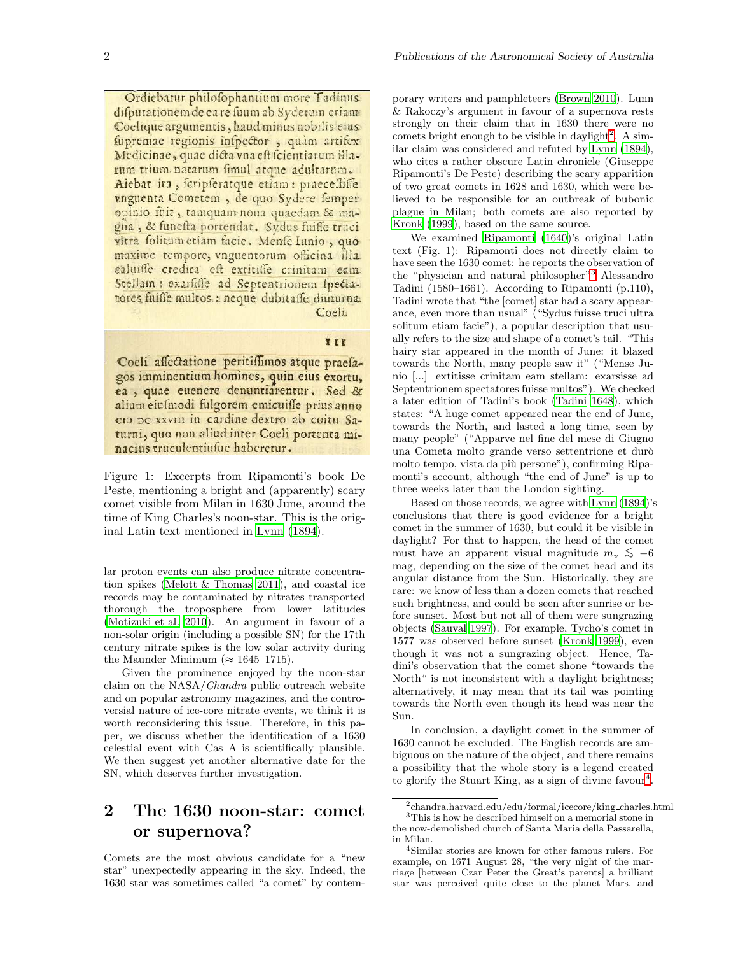Ordiebatur philofophantium more Tadinus. difputationem de ea re fuum ab Syderum etiam Coelique argumentis, haud minus nobilis eius fupremae regionis infpector, quam artifex Medicinae, quae dicta vna eft fcientiarum illarum trium natarum fimul atque adultarum. Aiebat ita, fcripferatque etiam: praecefliffe vnguenta Cometem, de quo Sydere femper opinio fuit, tamquam noua quaedam & magna, & funesta portendat. Sydus fuiffe truci vitra folitum etiam facie. Menfe Iunio, quo maxime tempore, vnguentorum officina illa caluifle credita est extitiffé crinitam eam Stellam : exarfiffe ad Septentrionem spectatores fuiffe multos : neque dubitaffe diuturna. Coeli.

#### III

Coeli affectatione peritiffimos atque praefagos imminentium homines, quin eius exortu, ea, quae euenere denuntiarentur. Sed & alium eiufmodi fulgorem emicuiffe prius anno cio pe xxviii in cardine dextro ab coitu Saturni, quo non aliud inter Coeli portenta minacius truculentiusue haberetur.

Figure 1: Excerpts from Ripamonti's book De Peste, mentioning a bright and (apparently) scary comet visible from Milan in 1630 June, around the time of King Charles's noon-star. This is the original Latin text mentioned in [Lynn \(1894\)](#page-9-9).

lar proton events can also produce nitrate concentration spikes [\(Melott & Thomas 2011\)](#page-9-10), and coastal ice records may be contaminated by nitrates transported thorough the troposphere from lower latitudes [\(Motizuki et al. 2010\)](#page-9-6). An argument in favour of a non-solar origin (including a possible SN) for the 17th century nitrate spikes is the low solar activity during the Maunder Minimum ( $\approx 1645-1715$ ).

Given the prominence enjoyed by the noon-star claim on the NASA/Chandra public outreach website and on popular astronomy magazines, and the controversial nature of ice-core nitrate events, we think it is worth reconsidering this issue. Therefore, in this paper, we discuss whether the identification of a 1630 celestial event with Cas A is scientifically plausible. We then suggest yet another alternative date for the SN, which deserves further investigation.

## 2 The 1630 noon-star: comet or supernova?

Comets are the most obvious candidate for a "new star" unexpectedly appearing in the sky. Indeed, the 1630 star was sometimes called "a comet" by contem-

porary writers and pamphleteers [\(Brown 2010](#page-8-6)). Lunn & Rakoczy's argument in favour of a supernova rests strongly on their claim that in 1630 there were no comets bright enough to be visible in daylight<sup>[2](#page-1-0)</sup>. A similar claim was considered and refuted by [Lynn \(1894](#page-9-9)), who cites a rather obscure Latin chronicle (Giuseppe Ripamonti's De Peste) describing the scary apparition of two great comets in 1628 and 1630, which were believed to be responsible for an outbreak of bubonic plague in Milan; both comets are also reported by [Kronk \(1999](#page-9-11)), based on the same source.

We examined [Ripamonti \(1640\)](#page-9-12)'s original Latin text (Fig. 1): Ripamonti does not directly claim to have seen the 1630 comet: he reports the observation of the "physician and natural philosopher"<sup>[3](#page-1-1)</sup> Alessandro Tadini (1580–1661). According to Ripamonti (p.110), Tadini wrote that "the [comet] star had a scary appearance, even more than usual" ("Sydus fuisse truci ultra solitum etiam facie"), a popular description that usually refers to the size and shape of a comet's tail. "This hairy star appeared in the month of June: it blazed towards the North, many people saw it" ("Mense Junio [...] extitisse crinitam eam stellam: exarsisse ad Septentrionem spectatores fuisse multos"). We checked a later edition of Tadini's book [\(Tadini 1648](#page-9-13)), which states: "A huge comet appeared near the end of June, towards the North, and lasted a long time, seen by many people" ("Apparve nel fine del mese di Giugno una Cometa molto grande verso settentrione et durò molto tempo, vista da più persone"), confirming Ripamonti's account, although "the end of June" is up to three weeks later than the London sighting.

Based on those records, we agree with [Lynn \(1894](#page-9-9))'s conclusions that there is good evidence for a bright comet in the summer of 1630, but could it be visible in daylight? For that to happen, the head of the comet must have an apparent visual magnitude  $m_v \lesssim -6$ mag, depending on the size of the comet head and its angular distance from the Sun. Historically, they are rare: we know of less than a dozen comets that reached such brightness, and could be seen after sunrise or before sunset. Most but not all of them were sungrazing objects [\(Sauval 1997](#page-9-14)). For example, Tycho's comet in 1577 was observed before sunset [\(Kronk 1999](#page-9-11)), even though it was not a sungrazing object. Hence, Tadini's observation that the comet shone "towards the North" is not inconsistent with a daylight brightness; alternatively, it may mean that its tail was pointing towards the North even though its head was near the Sun.

In conclusion, a daylight comet in the summer of 1630 cannot be excluded. The English records are ambiguous on the nature of the object, and there remains a possibility that the whole story is a legend created to glorify the Stuart King, as a sign of divine favour<sup>[4](#page-1-2)</sup>.

<span id="page-1-1"></span><span id="page-1-0"></span> $^2$ chandra.harvard.edu/edu/formal/icecore/king\_charles.html

 $^3 \mathrm{This}$  is how he described himself on a memorial stone in the now-demolished church of Santa Maria della Passarella, in Milan.

<span id="page-1-2"></span><sup>4</sup>Similar stories are known for other famous rulers. For example, on 1671 August 28, "the very night of the marriage [between Czar Peter the Great's parents] a brilliant star was perceived quite close to the planet Mars, and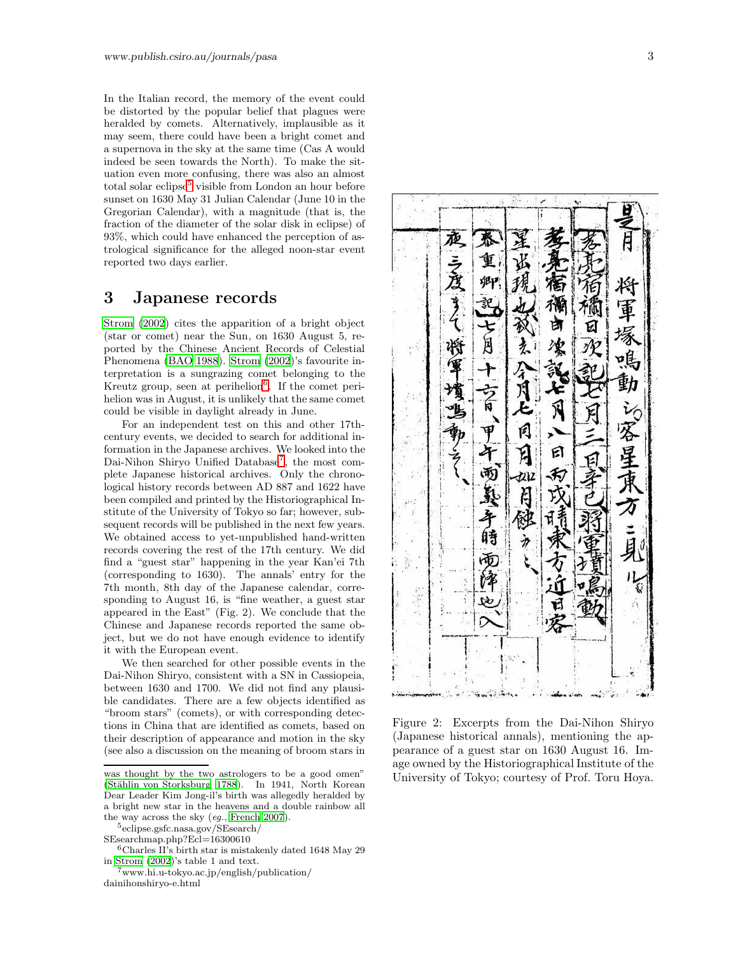In the Italian record, the memory of the event could be distorted by the popular belief that plagues were heralded by comets. Alternatively, implausible as it may seem, there could have been a bright comet and a supernova in the sky at the same time (Cas A would indeed be seen towards the North). To make the situation even more confusing, there was also an almost total solar eclipse<sup>[5](#page-2-0)</sup> visible from London an hour before sunset on 1630 May 31 Julian Calendar (June 10 in the Gregorian Calendar), with a magnitude (that is, the fraction of the diameter of the solar disk in eclipse) of 93%, which could have enhanced the perception of astrological significance for the alleged noon-star event reported two days earlier.

#### 3 Japanese records

[Strom \(2002\)](#page-9-15) cites the apparition of a bright object (star or comet) near the Sun, on 1630 August 5, reported by the Chinese Ancient Records of Celestial Phenomena [\(BAO 1988](#page-8-7)). [Strom \(2002](#page-9-15))'s favourite interpretation is a sungrazing comet belonging to the Kreutz group, seen at perihelion<sup>[6](#page-2-1)</sup>. If the comet perihelion was in August, it is unlikely that the same comet could be visible in daylight already in June.

For an independent test on this and other 17thcentury events, we decided to search for additional information in the Japanese archives. We looked into the Dai-Nihon Shiryo Unified Database<sup>[7](#page-2-2)</sup>, the most complete Japanese historical archives. Only the chronological history records between AD 887 and 1622 have been compiled and printed by the Historiographical Institute of the University of Tokyo so far; however, subsequent records will be published in the next few years. We obtained access to yet-unpublished hand-written records covering the rest of the 17th century. We did find a "guest star" happening in the year Kan'ei 7th (corresponding to 1630). The annals' entry for the 7th month, 8th day of the Japanese calendar, corresponding to August 16, is "fine weather, a guest star appeared in the East" (Fig. 2). We conclude that the Chinese and Japanese records reported the same object, but we do not have enough evidence to identify it with the European event.

We then searched for other possible events in the Dai-Nihon Shiryo, consistent with a SN in Cassiopeia, between 1630 and 1700. We did not find any plausible candidates. There are a few objects identified as "broom stars" (comets), or with corresponding detections in China that are identified as comets, based on their description of appearance and motion in the sky (see also a discussion on the meaning of broom stars in

<span id="page-2-0"></span>5 eclipse.gsfc.nasa.gov/SEsearch/



Figure 2: Excerpts from the Dai-Nihon Shiryo (Japanese historical annals), mentioning the appearance of a guest star on 1630 August 16. Image owned by the Historiographical Institute of the University of Tokyo; courtesy of Prof. Toru Hoya.

was thought by the two astrologers to be a good omen" (Stählin von Storksburg 1788). In 1941, North Korean Dear Leader Kim Jong-il's birth was allegedly heralded by a bright new star in the heavens and a double rainbow all the way across the sky (eg., [French 2007\)](#page-8-8).

SEsearchmap.php?Ecl=16300610

<span id="page-2-1"></span> ${}^{6}$ Charles II's birth star is mistakenly dated 1648 May 29 in [Strom \(2002](#page-9-15))'s table 1 and text.

<span id="page-2-2"></span><sup>7</sup>www.hi.u-tokyo.ac.jp/english/publication/ dainihonshiryo-e.html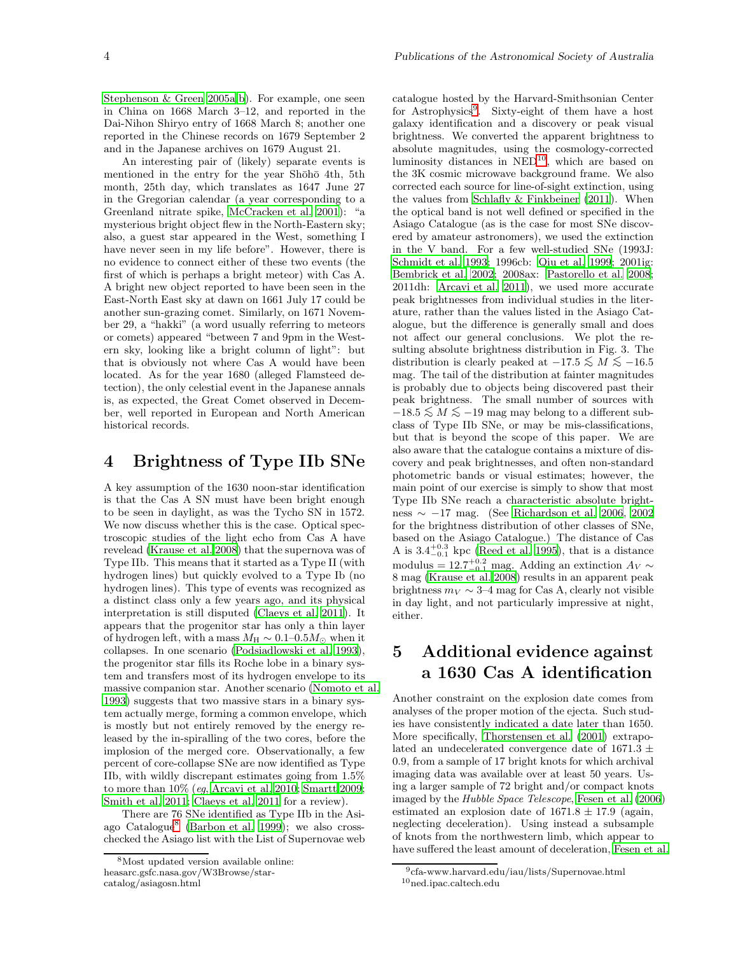[Stephenson & Green 2005a](#page-9-2)[,b](#page-9-17)). For example, one seen in China on 1668 March 3–12, and reported in the Dai-Nihon Shiryo entry of 1668 March 8; another one reported in the Chinese records on 1679 September 2 and in the Japanese archives on 1679 August 21.

An interesting pair of (likely) separate events is mentioned in the entry for the year Shōhō 4th, 5th month, 25th day, which translates as 1647 June 27 in the Gregorian calendar (a year corresponding to a Greenland nitrate spike, [McCracken et al. 2001](#page-9-5)): "a mysterious bright object flew in the North-Eastern sky; also, a guest star appeared in the West, something I have never seen in my life before". However, there is no evidence to connect either of these two events (the first of which is perhaps a bright meteor) with Cas A. A bright new object reported to have been seen in the East-North East sky at dawn on 1661 July 17 could be another sun-grazing comet. Similarly, on 1671 November 29, a "hakki" (a word usually referring to meteors or comets) appeared "between 7 and 9pm in the Western sky, looking like a bright column of light": but that is obviously not where Cas A would have been located. As for the year 1680 (alleged Flamsteed detection), the only celestial event in the Japanese annals is, as expected, the Great Comet observed in December, well reported in European and North American historical records.

#### 4 Brightness of Type IIb SNe

A key assumption of the 1630 noon-star identification is that the Cas A SN must have been bright enough to be seen in daylight, as was the Tycho SN in 1572. We now discuss whether this is the case. Optical spectroscopic studies of the light echo from Cas A have revelead [\(Krause et al. 2008\)](#page-8-0) that the supernova was of Type IIb. This means that it started as a Type II (with hydrogen lines) but quickly evolved to a Type Ib (no hydrogen lines). This type of events was recognized as a distinct class only a few years ago, and its physical interpretation is still disputed [\(Claeys et al. 2011](#page-8-9)). It appears that the progenitor star has only a thin layer of hydrogen left, with a mass  $M_H \sim 0.1$ – $0.5M_\odot$  when it collapses. In one scenario [\(Podsiadlowski et al. 1993\)](#page-9-18), the progenitor star fills its Roche lobe in a binary system and transfers most of its hydrogen envelope to its massive companion star. Another scenario [\(Nomoto et al.](#page-9-19) [1993](#page-9-19)) suggests that two massive stars in a binary system actually merge, forming a common envelope, which is mostly but not entirely removed by the energy released by the in-spiralling of the two cores, before the implosion of the merged core. Observationally, a few percent of core-collapse SNe are now identified as Type IIb, with wildly discrepant estimates going from 1.5% to more than 10% (eg, [Arcavi et al. 2010](#page-8-10); [Smartt 2009](#page-9-20); [Smith et al. 2011](#page-9-21); [Claeys et al. 2011](#page-8-9) for a review).

There are 76 SNe identified as Type IIb in the Asi-ago Catalogue<sup>[8](#page-3-0)</sup> [\(Barbon et al. 1999\)](#page-8-11); we also crosschecked the Asiago list with the List of Supernovae web catalogue hosted by the Harvard-Smithsonian Center for Astrophysics<sup>[9](#page-3-1)</sup>. Sixty-eight of them have a host galaxy identification and a discovery or peak visual brightness. We converted the apparent brightness to absolute magnitudes, using the cosmology-corrected luminosity distances in NED<sup>[10](#page-3-2)</sup>, which are based on the 3K cosmic microwave background frame. We also corrected each source for line-of-sight extinction, using the values from [Schlafly & Finkbeiner \(2011](#page-9-22)). When the optical band is not well defined or specified in the Asiago Catalogue (as is the case for most SNe discovered by amateur astronomers), we used the extinction in the V band. For a few well-studied SNe (1993J: [Schmidt et al. 1993](#page-9-23); 1996cb: [Qiu et al. 1999](#page-9-24); 2001ig: [Bembrick et al. 2002;](#page-8-12) 2008ax: [Pastorello et al. 2008;](#page-9-25) 2011dh: [Arcavi et al. 2011](#page-8-13)), we used more accurate peak brightnesses from individual studies in the literature, rather than the values listed in the Asiago Catalogue, but the difference is generally small and does not affect our general conclusions. We plot the resulting absolute brightness distribution in Fig. 3. The distribution is clearly peaked at  $-17.5 \leq M \leq -16.5$ mag. The tail of the distribution at fainter magnitudes is probably due to objects being discovered past their peak brightness. The small number of sources with  $-18.5 \lesssim M \lesssim -19$  mag may belong to a different subclass of Type IIb SNe, or may be mis-classifications, but that is beyond the scope of this paper. We are also aware that the catalogue contains a mixture of discovery and peak brightnesses, and often non-standard photometric bands or visual estimates; however, the main point of our exercise is simply to show that most Type IIb SNe reach a characteristic absolute brightness  $\sim -17$  mag. (See [Richardson et al. 2006](#page-9-26), [2002](#page-9-27) for the brightness distribution of other classes of SNe, based on the Asiago Catalogue.) The distance of Cas A is  $3.4^{+0.3}_{-0.1}$  kpc [\(Reed et al. 1995\)](#page-9-28), that is a distance modulus =  $12.7^{+0.2}_{-0.1}$  mag. Adding an extinction  $A_V \sim$ 8 mag [\(Krause et al. 2008](#page-8-0)) results in an apparent peak brightness  $m_V \sim 3-4$  mag for Cas A, clearly not visible in day light, and not particularly impressive at night, either.

# 5 Additional evidence against a 1630 Cas A identification

Another constraint on the explosion date comes from analyses of the proper motion of the ejecta. Such studies have consistently indicated a date later than 1650. More specifically, [Thorstensen et al. \(2001](#page-9-0)) extrapolated an undecelerated convergence date of 1671.3  $\pm$ 0.9, from a sample of 17 bright knots for which archival imaging data was available over at least 50 years. Using a larger sample of 72 bright and/or compact knots imaged by the Hubble Space Telescope, [Fesen et al. \(2006\)](#page-8-1) estimated an explosion date of  $1671.8 \pm 17.9$  (again, neglecting deceleration). Using instead a subsample of knots from the northwestern limb, which appear to have suffered the least amount of deceleration, [Fesen et al.](#page-8-1)

<span id="page-3-0"></span><sup>8</sup>Most updated version available online: heasarc.gsfc.nasa.gov/W3Browse/starcatalog/asiagosn.html

<span id="page-3-2"></span><span id="page-3-1"></span><sup>9</sup> cfa-www.harvard.edu/iau/lists/Supernovae.html  $\rm ^{10}$ ned.ipac.caltech.edu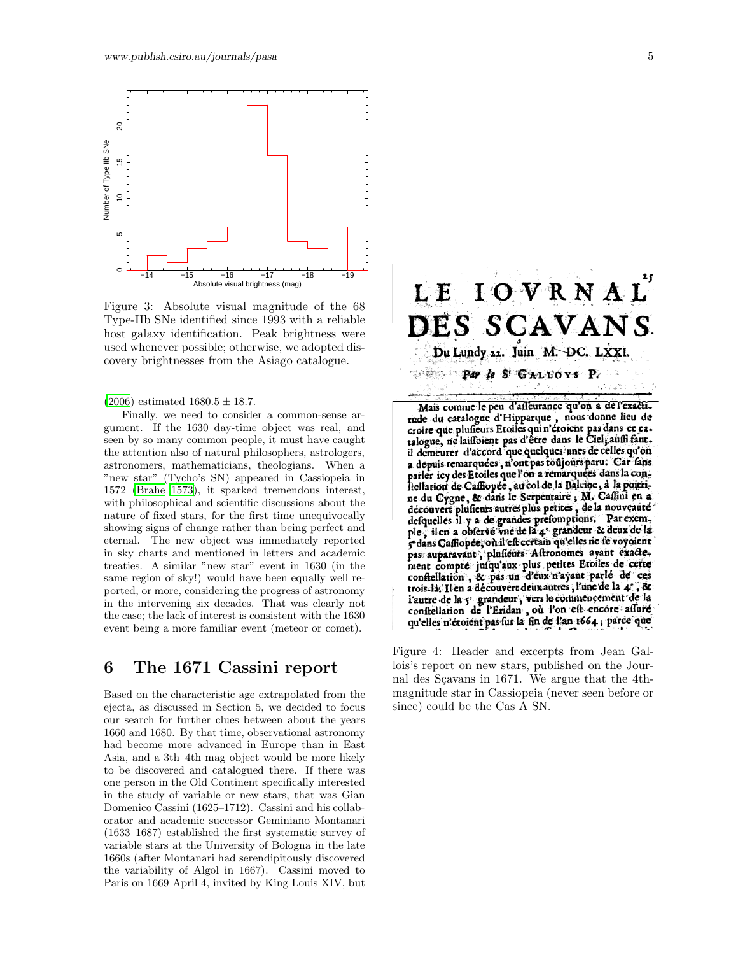

Figure 3: Absolute visual magnitude of the 68 Type-IIb SNe identified since 1993 with a reliable host galaxy identification. Peak brightness were used whenever possible; otherwise, we adopted discovery brightnesses from the Asiago catalogue.

 $(2006)$  $(2006)$  estimated  $1680.5 \pm 18.7$ .

Finally, we need to consider a common-sense argument. If the 1630 day-time object was real, and seen by so many common people, it must have caught the attention also of natural philosophers, astrologers, astronomers, mathematicians, theologians. When a "new star" (Tycho's SN) appeared in Cassiopeia in 1572 [\(Brahe 1573](#page-8-14)), it sparked tremendous interest, with philosophical and scientific discussions about the nature of fixed stars, for the first time unequivocally showing signs of change rather than being perfect and eternal. The new object was immediately reported in sky charts and mentioned in letters and academic treaties. A similar "new star" event in 1630 (in the same region of sky!) would have been equally well reported, or more, considering the progress of astronomy in the intervening six decades. That was clearly not the case; the lack of interest is consistent with the 1630 event being a more familiar event (meteor or comet).

#### 6 The 1671 Cassini report

Based on the characteristic age extrapolated from the ejecta, as discussed in Section 5, we decided to focus our search for further clues between about the years 1660 and 1680. By that time, observational astronomy had become more advanced in Europe than in East Asia, and a 3th–4th mag object would be more likely to be discovered and catalogued there. If there was one person in the Old Continent specifically interested in the study of variable or new stars, that was Gian Domenico Cassini (1625–1712). Cassini and his collaborator and academic successor Geminiano Montanari (1633–1687) established the first systematic survey of variable stars at the University of Bologna in the late 1660s (after Montanari had serendipitously discovered the variability of Algol in 1667). Cassini moved to Paris on 1669 April 4, invited by King Louis XIV, but



Mais comme le peu d'asseurance qu'on a de l'exactitude du catalogue d'Hipparque, nous donne lieu de croire que plusieurs Etoiles qui n'étoient pas dans ce cail demeurer d'accord que quelques unes de celles qu'on a depuis remarquées, n'ont pas toujours paru. Car fans parler icy des Etoiles que l'on a remarquées dans la constellation de Cassiopee, au col de la Baleine, à la poitrine du Cygne, & dans le Serpentaire, M. Caffini en a découvert plusieurs autres plus petites, de la nouveauté defquelles il y a de grandes prefomptions. Par exemple, il en a observé vne de la 4e grandeur & deux de la 5e dans Gaffiopee, où il eft certain qu'elles ne fe voyoient pas auparavant ; plusieurs Altronomes ayant exacte-<br>ment compré jusqu'aux plus petites Etoiles de cette confiellation, & pas un d'eux n'ayant parlé de ces trois-la. Il en a découvert deux autres, l'une de la 4e, & l'autre de la 5 grandeur, vers le commencement de la conftellation de l'Eridan , où l'on eft encore affuré qu'elles n'étoient pas sur la fin de l'an 1664; parce que

Figure 4: Header and excerpts from Jean Gallois's report on new stars, published on the Journal des Sçavans in 1671. We argue that the 4thmagnitude star in Cassiopeia (never seen before or since) could be the Cas A SN.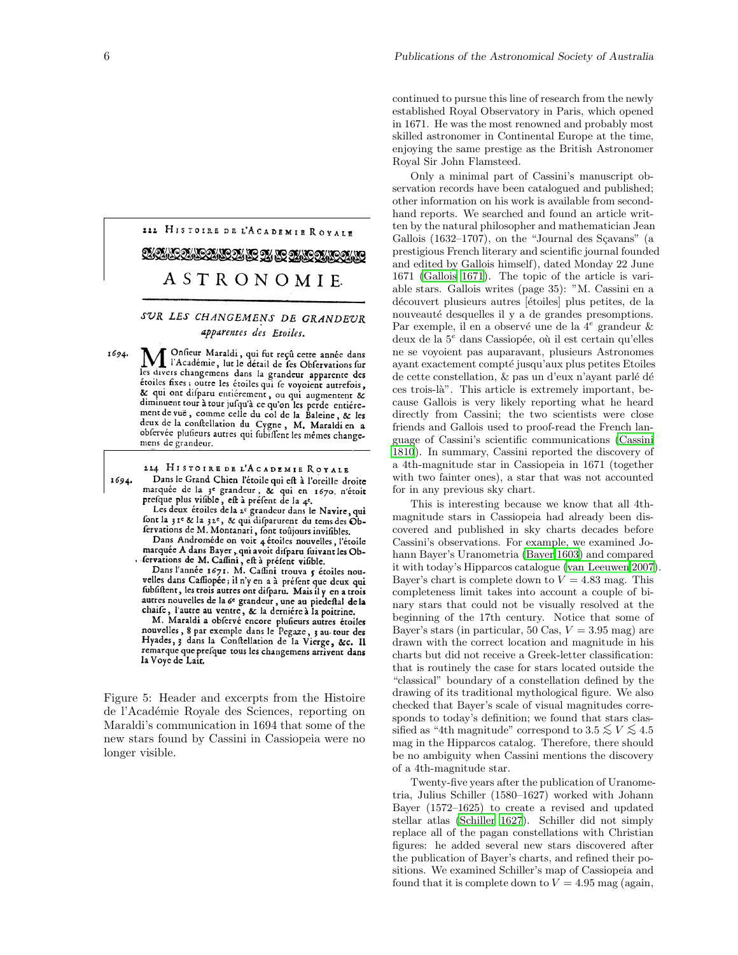# 222 HISTOIRE DE L'ACADEMIE ROYALE ASTRONOMIE.

#### SUR LES CHANGEMENS DE GRANDEUR apparentes des Etoiles.

Onfieur Maraldi, qui fut reçû cette année dans 1694. l'Académie, lut le détail de les Observations sur les divers changemens dans la grandeur apparente des étoiles fixes; outre les étoiles qui se voyoient autrefois, & qui ont difparu entiérement, ou qui augmentent & diminuent tour à tour jusqu'à ce qu'on les perde entierement de vue, comme celle du col de la Baleine, & les deux de la confiellation du Cygne, M. Maraldi en a observée plusieurs autres qui subissent les mêmes changemens de grandeur.

224 HISTOIRE DE L'ACADEMIE ROYALE

1694. Dans le Grand Chien l'étoile qui eft à l'oreille droite marquée de la 3<sup>e</sup> grandeur, & qui en 1670, n'étoit<br>prefque plus visible, est à préfent de la 4e.

Les deux étoiles de la 2e grandeur dans le Navire, qui font la 31e & la 32e, & qui disparurent du tems des Obfervations de M. Montanari, font toujours invifibles.

Dans Androméde on voit 4 étoiles nouvelles, l'étoile Dans Andromede on voit 4 etoiles nouvelles, l'étoile<br>marquée A dans Bayer, qui avoit difparu suivant les Ob-<br>fervations de M. Cassini, est à préfent visible.<br>Dans l'année 1671. M. Cassini trouva 5 étoiles nou-

velles dans Caffiopée; il n'y en a à préfent que deux qui fubfiftent, les trois autres ont difparu. Mais il y en a trois autres nouvelles de la 6e grandeur, une au piedeftal de la chaife, l'autre au ventre, & la dernière à la poitrine.

M. Maraldi a obfervé encore plusieurs autres étoiles nois matter a betty entert punears autres etones<br>nouvelles, 8 par exemple dans le Pegaze, 3 au-tour des<br>Hyades, 3 dans la Confiellation de la Vierge, &c. Il remarque que presque tous les changemens arrivent dans la Voye de Lair,

Figure 5: Header and excerpts from the Histoire de l'Acad´emie Royale des Sciences, reporting on Maraldi's communication in 1694 that some of the new stars found by Cassini in Cassiopeia were no longer visible.

continued to pursue this line of research from the newly established Royal Observatory in Paris, which opened in 1671. He was the most renowned and probably most skilled astronomer in Continental Europe at the time, enjoying the same prestige as the British Astronomer Royal Sir John Flamsteed.

Only a minimal part of Cassini's manuscript observation records have been catalogued and published; other information on his work is available from secondhand reports. We searched and found an article written by the natural philosopher and mathematician Jean Gallois  $(1632-1707)$ , on the "Journal des Sçavans" (a prestigious French literary and scientific journal founded and edited by Gallois himself), dated Monday 22 June 1671 [\(Gallois 1671](#page-8-15)). The topic of the article is variable stars. Gallois writes (page 35): "M. Cassini en a découvert plusieurs autres [étoiles] plus petites, de la nouveauté desquelles il y a de grandes presomptions. Par exemple, il en a observé une de la  $4^e$  grandeur & deux de la  $5^e$  dans Cassiopée, où il est certain qu'elles ne se voyoient pas auparavant, plusieurs Astronomes ayant exactement compté jusqu'aux plus petites Etoiles de cette constellation,  $\&$  pas un d'eux n'ayant parlé dé ces trois-l`a". This article is extremely important, because Gallois is very likely reporting what he heard directly from Cassini; the two scientists were close friends and Gallois used to proof-read the French language of Cassini's scientific communications [\(Cassini](#page-8-16) [1810](#page-8-16)). In summary, Cassini reported the discovery of a 4th-magnitude star in Cassiopeia in 1671 (together with two fainter ones), a star that was not accounted for in any previous sky chart.

This is interesting because we know that all 4thmagnitude stars in Cassiopeia had already been discovered and published in sky charts decades before Cassini's observations. For example, we examined Johann Bayer's Uranometria [\(Bayer 1603](#page-8-17)) and compared it with today's Hipparcos catalogue [\(van Leeuwen 2007\)](#page-9-29). Bayer's chart is complete down to  $V = 4.83$  mag. This completeness limit takes into account a couple of binary stars that could not be visually resolved at the beginning of the 17th century. Notice that some of Bayer's stars (in particular, 50 Cas,  $V = 3.95$  mag) are drawn with the correct location and magnitude in his charts but did not receive a Greek-letter classification: that is routinely the case for stars located outside the "classical" boundary of a constellation defined by the drawing of its traditional mythological figure. We also checked that Bayer's scale of visual magnitudes corresponds to today's definition; we found that stars classified as "4th magnitude" correspond to  $3.5 \lesssim V \lesssim 4.5$ mag in the Hipparcos catalog. Therefore, there should be no ambiguity when Cassini mentions the discovery of a 4th-magnitude star.

Twenty-five years after the publication of Uranometria, Julius Schiller (1580–1627) worked with Johann Bayer (1572–1625) to create a revised and updated stellar atlas [\(Schiller 1627\)](#page-9-30). Schiller did not simply replace all of the pagan constellations with Christian figures: he added several new stars discovered after the publication of Bayer's charts, and refined their positions. We examined Schiller's map of Cassiopeia and found that it is complete down to  $V = 4.95$  mag (again,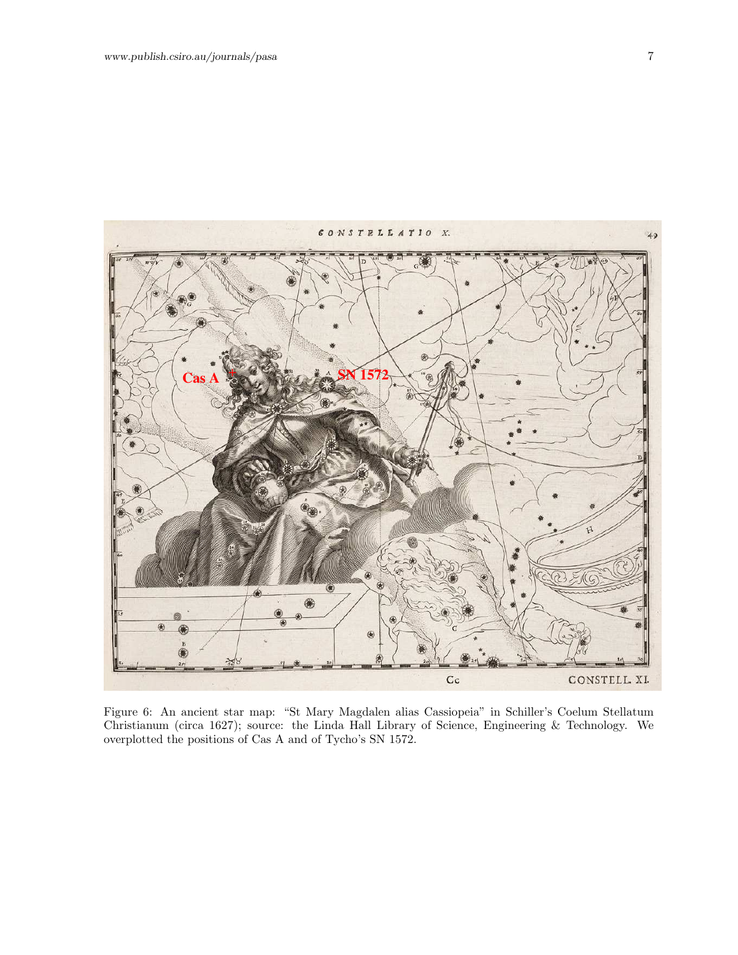

Figure 6: An ancient star map: "St Mary Magdalen alias Cassiopeia" in Schiller's Coelum Stellatum Christianum (circa 1627); source: the Linda Hall Library of Science, Engineering & Technology. We overplotted the positions of Cas A and of Tycho's SN 1572.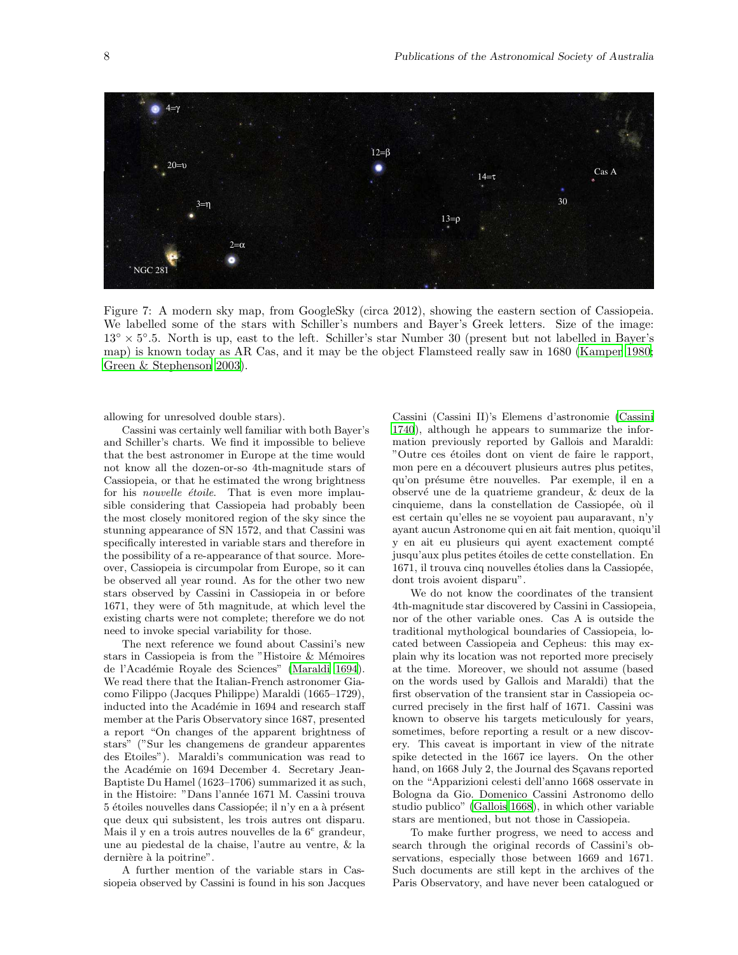

Figure 7: A modern sky map, from GoogleSky (circa 2012), showing the eastern section of Cassiopeia. We labelled some of the stars with Schiller's numbers and Bayer's Greek letters. Size of the image: 13◦ × 5 ◦ .5. North is up, east to the left. Schiller's star Number 30 (present but not labelled in Bayer's map) is known today as AR Cas, and it may be the object Flamsteed really saw in 1680 [\(Kamper 1980;](#page-8-18) [Green & Stephenson 2003](#page-8-3)).

allowing for unresolved double stars).

Cassini was certainly well familiar with both Bayer's and Schiller's charts. We find it impossible to believe that the best astronomer in Europe at the time would not know all the dozen-or-so 4th-magnitude stars of Cassiopeia, or that he estimated the wrong brightness for his *nouvelle étoile*. That is even more implausible considering that Cassiopeia had probably been the most closely monitored region of the sky since the stunning appearance of SN 1572, and that Cassini was specifically interested in variable stars and therefore in the possibility of a re-appearance of that source. Moreover, Cassiopeia is circumpolar from Europe, so it can be observed all year round. As for the other two new stars observed by Cassini in Cassiopeia in or before 1671, they were of 5th magnitude, at which level the existing charts were not complete; therefore we do not need to invoke special variability for those.

The next reference we found about Cassini's new stars in Cassiopeia is from the "Histoire & Mémoires" de l'Académie Royale des Sciences" [\(Maraldi 1694\)](#page-9-31). We read there that the Italian-French astronomer Giacomo Filippo (Jacques Philippe) Maraldi (1665–1729), inducted into the Académie in 1694 and research staff member at the Paris Observatory since 1687, presented a report "On changes of the apparent brightness of stars" ("Sur les changemens de grandeur apparentes des Etoiles"). Maraldi's communication was read to the Académie on 1694 December 4. Secretary Jean-Baptiste Du Hamel (1623–1706) summarized it as such, in the Histoire: "Dans l'année 1671 M. Cassini trouva 5 étoiles nouvelles dans Cassiopée; il n'y en a à présent que deux qui subsistent, les trois autres ont disparu. Mais il y en a trois autres nouvelles de la  $6^e$  grandeur, une au piedestal de la chaise, l'autre au ventre, & la dernière à la poitrine".

A further mention of the variable stars in Cassiopeia observed by Cassini is found in his son Jacques

Cassini (Cassini II)'s Elemens d'astronomie [\(Cassini](#page-8-19) [1740](#page-8-19)), although he appears to summarize the information previously reported by Gallois and Maraldi: "Outre ces étoiles dont on vient de faire le rapport, mon pere en a découvert plusieurs autres plus petites, qu'on présume être nouvelles. Par exemple, il en a observ´e une de la quatrieme grandeur, & deux de la cinquieme, dans la constellation de Cassiopée, où il est certain qu'elles ne se voyoient pau auparavant, n'y ayant aucun Astronome qui en ait fait mention, quoiqu'il y en ait eu plusieurs qui ayent exactement compté jusqu'aux plus petites étoiles de cette constellation. En 1671, il trouva cinq nouvelles étolies dans la Cassiopée, dont trois avoient disparu".

We do not know the coordinates of the transient 4th-magnitude star discovered by Cassini in Cassiopeia, nor of the other variable ones. Cas A is outside the traditional mythological boundaries of Cassiopeia, located between Cassiopeia and Cepheus: this may explain why its location was not reported more precisely at the time. Moreover, we should not assume (based on the words used by Gallois and Maraldi) that the first observation of the transient star in Cassiopeia occurred precisely in the first half of 1671. Cassini was known to observe his targets meticulously for years, sometimes, before reporting a result or a new discovery. This caveat is important in view of the nitrate spike detected in the 1667 ice layers. On the other hand, on 1668 July 2, the Journal des Sçavans reported on the "Apparizioni celesti dell'anno 1668 osservate in Bologna da Gio. Domenico Cassini Astronomo dello studio publico" [\(Gallois 1668\)](#page-8-20), in which other variable stars are mentioned, but not those in Cassiopeia.

To make further progress, we need to access and search through the original records of Cassini's observations, especially those between 1669 and 1671. Such documents are still kept in the archives of the Paris Observatory, and have never been catalogued or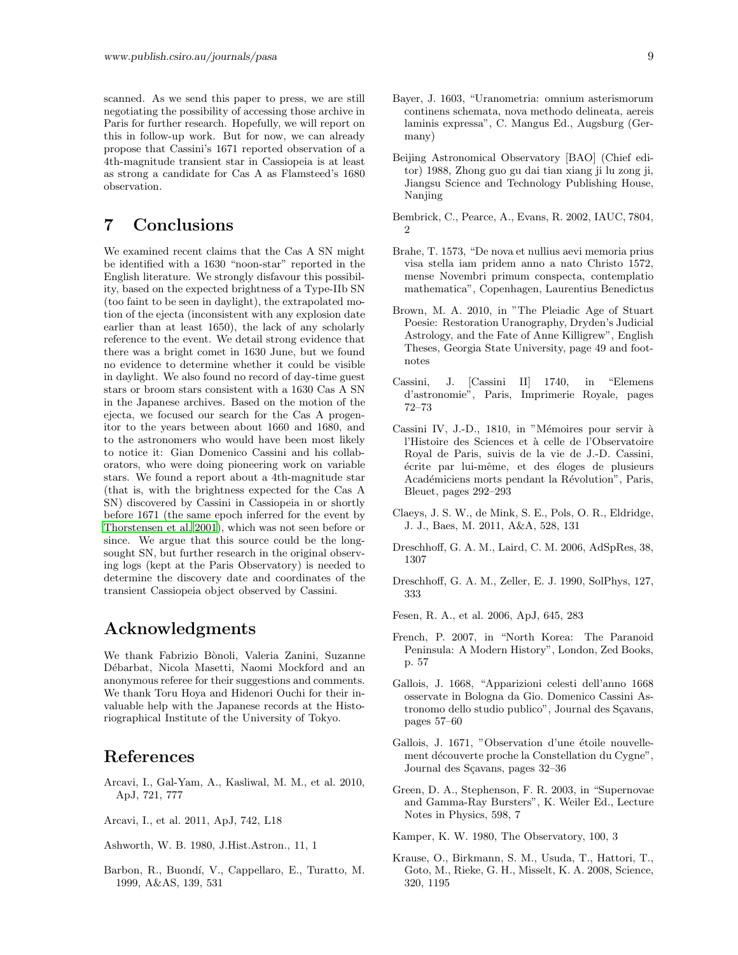scanned. As we send this paper to press, we are still negotiating the possibility of accessing those archive in Paris for further research. Hopefully, we will report on this in follow-up work. But for now, we can already propose that Cassini's 1671 reported observation of a 4th-magnitude transient star in Cassiopeia is at least as strong a candidate for Cas A as Flamsteed's 1680 observation.

### 7 Conclusions

We examined recent claims that the Cas A SN might be identified with a 1630 "noon-star" reported in the English literature. We strongly disfavour this possibility, based on the expected brightness of a Type-IIb SN (too faint to be seen in daylight), the extrapolated motion of the ejecta (inconsistent with any explosion date earlier than at least 1650), the lack of any scholarly reference to the event. We detail strong evidence that there was a bright comet in 1630 June, but we found no evidence to determine whether it could be visible in daylight. We also found no record of day-time guest stars or broom stars consistent with a 1630 Cas A SN in the Japanese archives. Based on the motion of the ejecta, we focused our search for the Cas A progenitor to the years between about 1660 and 1680, and to the astronomers who would have been most likely to notice it: Gian Domenico Cassini and his collaborators, who were doing pioneering work on variable stars. We found a report about a 4th-magnitude star (that is, with the brightness expected for the Cas A SN) discovered by Cassini in Cassiopeia in or shortly before 1671 (the same epoch inferred for the event by [Thorstensen et al. 2001](#page-9-0)), which was not seen before or since. We argue that this source could be the longsought SN, but further research in the original observing logs (kept at the Paris Observatory) is needed to determine the discovery date and coordinates of the transient Cassiopeia object observed by Cassini.

#### Acknowledgments

We thank Fabrizio Bònoli, Valeria Zanini, Suzanne Débarbat, Nicola Masetti, Naomi Mockford and an anonymous referee for their suggestions and comments. We thank Toru Hoya and Hidenori Ouchi for their invaluable help with the Japanese records at the Historiographical Institute of the University of Tokyo.

#### References

<span id="page-8-10"></span>Arcavi, I., Gal-Yam, A., Kasliwal, M. M., et al. 2010, ApJ, 721, 777

<span id="page-8-13"></span>Arcavi, I., et al. 2011, ApJ, 742, L18

<span id="page-8-2"></span>Ashworth, W. B. 1980, J.Hist.Astron., 11, 1

<span id="page-8-11"></span>Barbon, R., Buond´ı, V., Cappellaro, E., Turatto, M. 1999, A&AS, 139, 531

- <span id="page-8-17"></span>Bayer, J. 1603, "Uranometria: omnium asterismorum continens schemata, nova methodo delineata, aereis laminis expressa", C. Mangus Ed., Augsburg (Germany)
- <span id="page-8-7"></span>Beijing Astronomical Observatory [BAO] (Chief editor) 1988, Zhong guo gu dai tian xiang ji lu zong ji, Jiangsu Science and Technology Publishing House, Nanjing
- <span id="page-8-12"></span>Bembrick, C., Pearce, A., Evans, R. 2002, IAUC, 7804,  $\mathfrak{D}$
- <span id="page-8-14"></span>Brahe, T. 1573, "De nova et nullius aevi memoria prius visa stella iam pridem anno a nato Christo 1572, mense Novembri primum conspecta, contemplatio mathematica", Copenhagen, Laurentius Benedictus
- <span id="page-8-6"></span>Brown, M. A. 2010, in "The Pleiadic Age of Stuart Poesie: Restoration Uranography, Dryden's Judicial Astrology, and the Fate of Anne Killigrew", English Theses, Georgia State University, page 49 and footnotes
- <span id="page-8-19"></span>Cassini, J. [Cassini II] 1740, in "Elemens d'astronomie", Paris, Imprimerie Royale, pages 72–73
- <span id="page-8-16"></span>Cassini IV, J.-D., 1810, in "Mémoires pour servir à l'Histoire des Sciences et à celle de l'Observatoire Royal de Paris, suivis de la vie de J.-D. Cassini, ´ecrite par lui-mˆeme, et des ´eloges de plusieurs Académiciens morts pendant la Révolution", Paris, Bleuet, pages 292–293
- <span id="page-8-9"></span>Claeys, J. S. W., de Mink, S. E., Pols, O. R., Eldridge, J. J., Baes, M. 2011, A&A, 528, 131
- <span id="page-8-4"></span>Dreschhoff, G. A. M., Laird, C. M. 2006, AdSpRes, 38, 1307
- <span id="page-8-5"></span>Dreschhoff, G. A. M., Zeller, E. J. 1990, SolPhys, 127, 333
- <span id="page-8-1"></span>Fesen, R. A., et al. 2006, ApJ, 645, 283
- <span id="page-8-8"></span>French, P. 2007, in "North Korea: The Paranoid Peninsula: A Modern History", London, Zed Books, p. 57
- <span id="page-8-20"></span>Gallois, J. 1668, "Apparizioni celesti dell'anno 1668 osservate in Bologna da Gio. Domenico Cassini Astronomo dello studio publico", Journal des Sçavans, pages 57–60
- <span id="page-8-15"></span>Gallois, J. 1671, "Observation d'une étoile nouvellement découverte proche la Constellation du Cygne", Journal des Sçavans, pages 32-36
- <span id="page-8-3"></span>Green, D. A., Stephenson, F. R. 2003, in "Supernovae and Gamma-Ray Bursters", K. Weiler Ed., Lecture Notes in Physics, 598, 7

<span id="page-8-18"></span>Kamper, K. W. 1980, The Observatory, 100, 3

<span id="page-8-0"></span>Krause, O., Birkmann, S. M., Usuda, T., Hattori, T., Goto, M., Rieke, G. H., Misselt, K. A. 2008, Science, 320, 1195